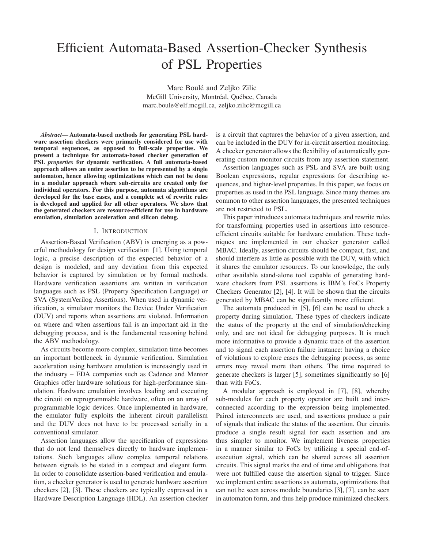# Efficient Automata-Based Assertion-Checker Synthesis of PSL Properties

Marc Boulé and Zeljko Zilic McGill University, Montréal, Québec, Canada marc.boule@elf.mcgill.ca, zeljko.zilic@mcgill.ca

*Abstract***— Automata-based methods for generating PSL hardware assertion checkers were primarily considered for use with temporal sequences, as opposed to full-scale properties. We present a technique for automata-based checker generation of PSL** *properties* **for dynamic verification. A full automata-based approach allows an entire assertion to be represented by a single automaton, hence allowing optimizations which can not be done in a modular approach where sub-circuits are created only for individual operators. For this purpose, automata algorithms are developed for the base cases, and a complete set of rewrite rules is developed and applied for all other operators. We show that the generated checkers are resource-efficient for use in hardware emulation, simulation acceleration and silicon debug.**

#### I. INTRODUCTION

Assertion-Based Verification (ABV) is emerging as a powerful methodology for design verification [1]. Using temporal logic, a precise description of the expected behavior of a design is modeled, and any deviation from this expected behavior is captured by simulation or by formal methods. Hardware verification assertions are written in verification languages such as PSL (Property Specification Language) or SVA (SystemVerilog Assertions). When used in dynamic verification, a simulator monitors the Device Under Verification (DUV) and reports when assertions are violated. Information on where and when assertions fail is an important aid in the debugging process, and is the fundamental reasoning behind the ABV methodology.

As circuits become more complex, simulation time becomes an important bottleneck in dynamic verification. Simulation acceleration using hardware emulation is increasingly used in the industry – EDA companies such as Cadence and Mentor Graphics offer hardware solutions for high-performance simulation. Hardware emulation involves loading and executing the circuit on reprogrammable hardware, often on an array of programmable logic devices. Once implemented in hardware, the emulator fully exploits the inherent circuit parallelism and the DUV does not have to be processed serially in a conventional simulator.

Assertion languages allow the specification of expressions that do not lend themselves directly to hardware implementations. Such languages allow complex temporal relations between signals to be stated in a compact and elegant form. In order to consolidate assertion-based verification and emulation, a checker generator is used to generate hardware assertion checkers [2], [3]. These checkers are typically expressed in a Hardware Description Language (HDL). An assertion checker is a circuit that captures the behavior of a given assertion, and can be included in the DUV for in-circuit assertion monitoring. A checker generator allows the flexibility of automatically generating custom monitor circuits from any assertion statement.

Assertion languages such as PSL and SVA are built using Boolean expressions, regular expressions for describing sequences, and higher-level properties. In this paper, we focus on properties as used in the PSL language. Since many themes are common to other assertion languages, the presented techniques are not restricted to PSL.

This paper introduces automata techniques and rewrite rules for transforming properties used in assertions into resourceefficient circuits suitable for hardware emulation. These techniques are implemented in our checker generator called MBAC. Ideally, assertion circuits should be compact, fast, and should interfere as little as possible with the DUV, with which it shares the emulator resources. To our knowledge, the only other available stand-alone tool capable of generating hardware checkers from PSL assertions is IBM's FoCs Property Checkers Generator [2], [4]. It will be shown that the circuits generated by MBAC can be significantly more efficient.

The automata produced in [5], [6] can be used to check a property during simulation. These types of checkers indicate the status of the property at the end of simulation/checking only, and are not ideal for debugging purposes. It is much more informative to provide a dynamic trace of the assertion and to signal each assertion failure instance: having a choice of violations to explore eases the debugging process, as some errors may reveal more than others. The time required to generate checkers is larger [5], sometimes significantly so [6] than with FoCs.

A modular approach is employed in [7], [8], whereby sub-modules for each property operator are built and interconnected according to the expression being implemented. Paired interconnects are used, and assertions produce a pair of signals that indicate the status of the assertion. Our circuits produce a single result signal for each assertion and are thus simpler to monitor. We implement liveness properties in a manner similar to FoCs by utilizing a special end-ofexecution signal, which can be shared across all assertion circuits. This signal marks the end of time and obligations that were not fulfilled cause the assertion signal to trigger. Since we implement entire assertions as automata, optimizations that can not be seen across module boundaries [3], [7], can be seen in automaton form, and thus help produce minimized checkers.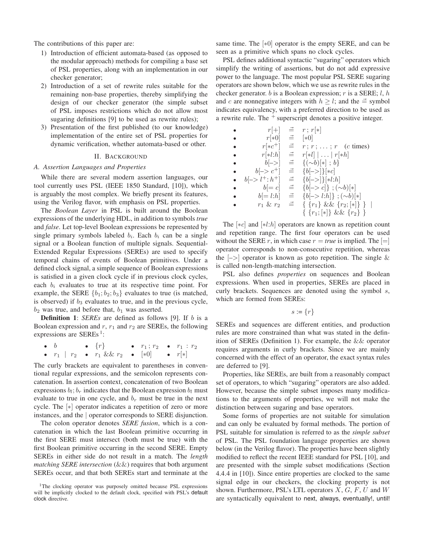The contributions of this paper are:

- 1) Introduction of efficient automata-based (as opposed to the modular approach) methods for compiling a base set of PSL properties, along with an implementation in our checker generator;
- 2) Introduction of a set of rewrite rules suitable for the remaining non-base properties, thereby simplifying the design of our checker generator (the simple subset of PSL imposes restrictions which do not allow most sugaring definitions [9] to be used as rewrite rules);
- 3) Presentation of the first published (to our knowledge) implementation of the entire set of PSL properties for dynamic verification, whether automata-based or other.

#### II. BACKGROUND

### *A. Assertion Languages and Properties*

While there are several modern assertion languages, our tool currently uses PSL (IEEE 1850 Standard, [10]), which is arguably the most complex. We briefly present its features, using the Verilog flavor, with emphasis on PSL properties.

The *Boolean Layer* in PSL is built around the Boolean expressions of the underlying HDL, in addition to symbols *true* and *false*. Let top-level Boolean expressions be represented by single primary symbols labeled  $b_i$ . Each  $b_i$  can be a single signal or a Boolean function of multiple signals. Sequential-Extended Regular Expressions (SEREs) are used to specify temporal chains of events of Boolean primitives. Under a defined clock signal, a simple sequence of Boolean expressions is satisfied in a given clock cycle if in previous clock cycles, each b*<sup>i</sup>* evaluates to true at its respective time point. For example, the SERE  ${b_1; b_2; b_3}$  evaluates to true (is matched, is observed) if  $b_3$  evaluates to true, and in the previous cycle,  $b_2$  was true, and before that,  $b_1$  was asserted.

**Definition 1**: *SEREs* are defined as follows [9]. If *b* is a Boolean expression and  $r$ ,  $r_1$  and  $r_2$  are SEREs, the following expressions are SEREs<sup>1</sup>:

• 
$$
b
$$
 •  $\{r\}$  •  $r_1; r_2 \cdot r_1 : r_2$   
•  $r_1 | r_2 \cdot r_1 \& r_2 \cdot [*0]$  •  $r[*]$ 

The curly brackets are equivalent to parentheses in conventional regular expressions, and the semicolon represents concatenation. In assertion context, concatenation of two Boolean expressions  $b_l$ ;  $b_r$  indicates that the Boolean expression  $b_l$  must evaluate to true in one cycle, and  $b_r$  must be true in the next cycle. The [∗] operator indicates a repetition of zero or more instances, and the | operator corresponds to SERE disjunction.

The colon operator denotes *SERE fusion*, which is a concatenation in which the last Boolean primitive occurring in the first SERE must intersect (both must be true) with the first Boolean primitive occurring in the second SERE. Empty SEREs in either side do not result in a match. The *length matching SERE intersection* (&&) requires that both argument SEREs occur, and that both SEREs start and terminate at the same time. The [∗0] operator is the empty SERE, and can be seen as a primitive which spans no clock cycles.

PSL defines additional syntactic "sugaring" operators which simplify the writing of assertions, but do not add expressive power to the language. The most popular PSL SERE sugaring operators are shown below, which we use as rewrite rules in the checker generator. b is a Boolean expression; r is a SERE;  $l, h$ and c are nonnegative integers with  $h \ge l$ ; and the  $\equiv$  symbol indicates equivalency, with a preferred direction to be used as a rewrite rule. The  $+$  superscript denotes a positive integer.

\n- \n
$$
r[+] \equiv r; r[*
$$
\n
\n- \n
$$
r[*0] \equiv [*0]
$$
\n
\n- \n
$$
r[*c^+] \equiv r; r; \ldots; r \text{ (c times)}
$$
\n
\n- \n
$$
r[*l:h] \equiv r[*l] \ldots |r[*h]
$$
\n
\n- \n
$$
b[->] \equiv \{(\sim b)[*]; b\}
$$
\n
\n- \n
$$
b[-> c^+] \equiv \{b[->]}[*c]
$$
\n
\n- \n
$$
b[-> l^+; h^+] \equiv \{b[->]}[*l:h]
$$
\n
\n- \n
$$
b[=c] \equiv \{b[->c]\}; (\sim b)[*]
$$
\n
\n- \n
$$
b[=l:h] \equiv \{b[->l:h]\}; (\sim b)[*]
$$
\n
\n- \n
$$
r_1 \& r_2 \equiv \{r_1\} \& \& \{r_2; [*]\} \mid \{r_1; [*]\} \& \& \{r_2\}
$$
\n
\n

The  $[\ast c]$  and  $[\ast l: h]$  operators are known as repetition count and repetition range. The first four operators can be used without the SERE r, in which case  $r = true$  is implied. The  $\vert = \vert$ operator corresponds to non-consecutive repetition, whereas the  $[->]$  operator is known as goto repetition. The single  $\&$ is called non-length-matching intersection.

PSL also defines *properties* on sequences and Boolean expressions. When used in properties, SEREs are placed in curly brackets. Sequences are denoted using the symbol s, which are formed from SEREs:

$$
s := \{r\}
$$

SEREs and sequences are different entities, and production rules are more constrained than what was stated in the definition of SEREs (Definition 1). For example, the && operator requires arguments in curly brackets. Since we are mainly concerned with the effect of an operator, the exact syntax rules are deferred to [9].

Properties, like SEREs, are built from a reasonably compact set of operators, to which "sugaring" operators are also added. However, because the simple subset imposes many modifications to the arguments of properties, we will not make the distinction between sugaring and base operators.

Some forms of properties are not suitable for simulation and can only be evaluated by formal methods. The portion of PSL suitable for simulation is referred to as the *simple subset* of PSL. The PSL foundation language properties are shown below (in the Verilog flavor). The properties have been slightly modified to reflect the recent IEEE standard for PSL [10], and are presented with the simple subset modifications (Section 4.4.4 in [10]). Since entire properties are clocked to the same signal edge in our checkers, the clocking property is not shown. Furthermore, PSL's LTL operators  $X, G, F, U$  and  $W$ are syntactically equivalent to next, always, eventually!, until!

<sup>&</sup>lt;sup>1</sup>The clocking operator was purposely omitted because PSL expressions will be implicitly clocked to the default clock, specified with PSL's default clock directive.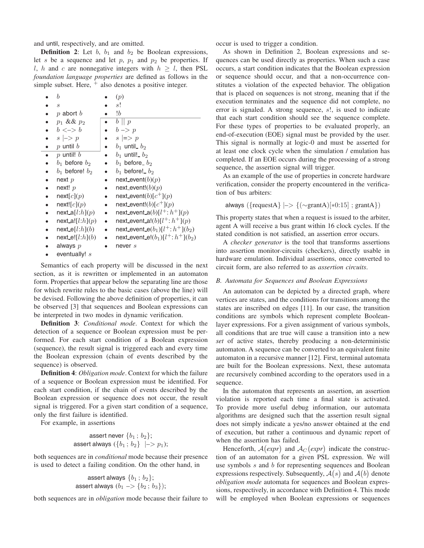and until, respectively, and are omitted.

**Definition 2**: Let  $b$ ,  $b_1$  and  $b_2$  be Boolean expressions, let s be a sequence and let  $p$ ,  $p_1$  and  $p_2$  be properties. If l, h and c are nonnegative integers with  $h \geq l$ , then PSL *foundation language properties* are defined as follows in the simple subset. Here,  $+$  also denotes a positive integer.

| b                           | (p)                                                                          |
|-----------------------------|------------------------------------------------------------------------------|
| $\mathcal{S}_{0}$           | s!                                                                           |
| $p$ abort $b$               | !b                                                                           |
| $p_1$ && $p_2$              | $b \parallel p$                                                              |
| $b \leq b$                  | $b \rightarrow p$                                                            |
| $s \models > p$             | $s \models > p$                                                              |
| $p$ until $b$<br>$\bullet$  | $b_1$ until $b_2$                                                            |
| $p$ until! $b$<br>$\bullet$ | $b_1$ until! $b_2$                                                           |
| $b_1$ before $b_2$          | $b_1$ before $b_2$                                                           |
| $b_1$ before! $b_2$         | $b_1$ before! $b_2$                                                          |
| next $p$                    | next_event(b)(p)                                                             |
| next! $p$                   | next_event! $(b)(p)$                                                         |
| next[c](p)                  | next_event(b)[ $c^+$ ](p)<br>$\bullet$                                       |
| next [c](p)                 | next_event! $(b)[c^+] (p)$<br>$\bullet$                                      |
| next_a[ $l:h$ ] $(p)$       | next_event_a(b)[ $l^+$ : $h^+$ ](p)<br>$\bullet$                             |
| next_a![ $l:h$ ] $(p)$      | next_event_a!(b)[ $l^+$ : $h^+$ ](p)<br>$\bullet$                            |
| next_e[ $l:h$ ] $(b)$       | next_event_e(b <sub>1</sub> )[ $l^+$ : $h^+$ ](b <sub>2</sub> )<br>$\bullet$ |
| next_e! $[l:h](b)$          | next_event_e! $(b_1)[l^+; h^+] (b_2)$<br>$\bullet$                           |
| always $p$                  | never $s$                                                                    |

• eventually! s

Semantics of each property will be discussed in the next section, as it is rewritten or implemented in an automaton form. Properties that appear below the separating line are those for which rewrite rules to the basic cases (above the line) will be devised. Following the above definition of properties, it can be observed [3] that sequences and Boolean expressions can be interpreted in two modes in dynamic verification.

**Definition 3**: *Conditional mode*. Context for which the detection of a sequence or Boolean expression must be performed. For each start condition of a Boolean expression (sequence), the result signal is triggered each and every time the Boolean expression (chain of events described by the sequence) is observed.

**Definition 4**: *Obligation mode*. Context for which the failure of a sequence or Boolean expression must be identified. For each start condition, if the chain of events described by the Boolean expression or sequence does not occur, the result signal is triggered. For a given start condition of a sequence, only the first failure is identified.

For example, in assertions

$$
\text{assert never } \{b_1\,;\,b_2\};
$$
\n
$$
\text{assert always } (\{b_1\,;\,b_2\}\ \mid\gt>p_1);
$$

both sequences are in *conditional* mode because their presence is used to detect a failing condition. On the other hand, in

assert always 
$$
\{b_1; b_2\};
$$
 assert always  $(b_1 \rightarrow \{b_2; b_3\});$ 

both sequences are in *obligation* mode because their failure to

occur is used to trigger a condition.

As shown in Definition 2, Boolean expressions and sequences can be used directly as properties. When such a case occurs, a start condition indicates that the Boolean expression or sequence should occur, and that a non-occurrence constitutes a violation of the expected behavior. The obligation that is placed on sequences is not strong, meaning that if the execution terminates and the sequence did not complete, no error is signaled. A strong sequence, s!, is used to indicate that each start condition should see the sequence complete. For these types of properties to be evaluated properly, an end-of-execution (EOE) signal must be provided by the user. This signal is normally at logic-0 and must be asserted for at least one clock cycle when the simulation / emulation has completed. If an EOE occurs during the processing of a strong sequence, the assertion signal will trigger.

As an example of the use of properties in concrete hardware verification, consider the property encountered in the verification of bus arbiters:

always (
$$
{requestA} \mid-> {(\sim grant A)[*0:15]}
$$
; grantA))

This property states that when a request is issued to the arbiter, agent A will receive a bus grant within 16 clock cycles. If the stated condition is not satisfied, an assertion error occurs.

A *checker generator* is the tool that transforms assertions into assertion monitor-circuits (checkers), directly usable in hardware emulation. Individual assertions, once converted to circuit form, are also referred to as *assertion circuits*.

#### *B. Automata for Sequences and Boolean Expressions*

An automaton can be depicted by a directed graph, where vertices are states, and the conditions for transitions among the states are inscribed on edges [11]. In our case, the transition conditions are symbols which represent complete Booleanlayer expressions. For a given assignment of various symbols, all conditions that are true will cause a transition into a new *set* of active states, thereby producing a non-deterministic automaton. A sequence can be converted to an equivalent finite automaton in a recursive manner [12]. First, terminal automata are built for the Boolean expressions. Next, these automata are recursively combined according to the operators used in a sequence.

In the automaton that represents an assertion, an assertion violation is reported each time a final state is activated. To provide more useful debug information, our automata algorithms are designed such that the assertion result signal does not simply indicate a yes/no answer obtained at the end of execution, but rather a continuous and dynamic report of when the assertion has failed.

Henceforth,  $A(exp)$  and  $A_C(exp)$  indicate the construction of an automaton for a given PSL expression. We will use symbols s and b for representing sequences and Boolean expressions respectively. Subsequently,  $A(s)$  and  $A(b)$  denote *obligation mode* automata for sequences and Boolean expressions, respectively, in accordance with Definition 4. This mode will be employed when Boolean expressions or sequences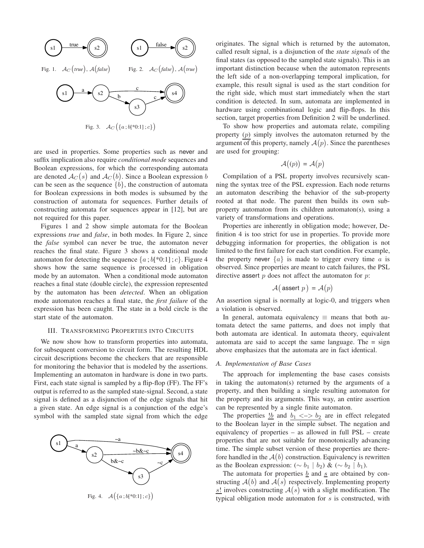

are used in properties. Some properties such as never and suffix implication also require *conditional mode* sequences and Boolean expressions, for which the corresponding automata are denoted  $A_C(s)$  and  $A_C(b)$ . Since a Boolean expression b can be seen as the sequence  ${b}$ , the construction of automata for Boolean expressions in both modes is subsumed by the construction of automata for sequences. Further details of constructing automata for sequences appear in [12], but are not required for this paper.

Figures 1 and 2 show simple automata for the Boolean expressions *true* and *false*, in both modes. In Figure 2, since the *false* symbol can never be true, the automaton never reaches the final state. Figure 3 shows a conditional mode automaton for detecting the sequence  $\{a; b[^*0:1]; c\}$ . Figure 4 shows how the same sequence is processed in obligation mode by an automaton. When a conditional mode automaton reaches a final state (double circle), the expression represented by the automaton has been *detected*. When an obligation mode automaton reaches a final state, the *first failure* of the expression has been caught. The state in a bold circle is the start state of the automaton.

## III. TRANSFORMING PROPERTIES INTO CIRCUITS

We now show how to transform properties into automata, for subsequent conversion to circuit form. The resulting HDL circuit descriptions become the checkers that are responsible for monitoring the behavior that is modeled by the assertions. Implementing an automaton in hardware is done in two parts. First, each state signal is sampled by a flip-flop (FF). The FF's output is referred to as the sampled state-signal. Second, a state signal is defined as a disjunction of the edge signals that hit a given state. An edge signal is a conjunction of the edge's symbol with the sampled state signal from which the edge



originates. The signal which is returned by the automaton, called result signal, is a disjunction of the *state signals* of the final states (as opposed to the sampled state signals). This is an important distinction because when the automaton represents the left side of a non-overlapping temporal implication, for example, this result signal is used as the start condition for the right side, which must start immediately when the start condition is detected. In sum, automata are implemented in hardware using combinational logic and flip-flops. In this section, target properties from Definition 2 will be underlined.

To show how properties and automata relate, compiling property (p) simply involves the automaton returned by the argument of this property, namely  $\mathcal{A}(p)$ . Since the parentheses are used for grouping:

$$
\mathcal{A}(\mathfrak{p}) = \mathcal{A}(\mathfrak{p})
$$

Compilation of a PSL property involves recursively scanning the syntax tree of the PSL expression. Each node returns an automaton describing the behavior of the sub-property rooted at that node. The parent then builds its own subproperty automaton from its children automaton(s), using a variety of transformations and operations.

Properties are inherently in obligation mode; however, Definition 4 is too strict for use in properties. To provide more debugging information for properties, the obligation is not limited to the first failure for each start condition. For example, the property never  $\{a\}$  is made to trigger every time a is observed. Since properties are meant to catch failures, the PSL directive assert  $p$  does not affect the automaton for  $p$ :

$$
\mathcal{A}(\text{assert } p) = \mathcal{A}(p)
$$

An assertion signal is normally at logic-0, and triggers when a violation is observed.

In general, automata equivalency  $\equiv$  means that both automata detect the same patterns, and does not imply that both automata are identical. In automata theory, equivalent automata are said to accept the same language. The = sign above emphasizes that the automata are in fact identical.

## *A. Implementation of Base Cases*

The approach for implementing the base cases consists in taking the automaton(s) returned by the arguments of a property, and then building a single resulting automaton for the property and its arguments. This way, an entire assertion can be represented by a single finite automaton.

The properties  $\underline{!b}$  and  $b_1 \leq b_2$  are in effect relegated to the Boolean layer in the simple subset. The negation and equivalency of properties – as allowed in full PSL – create properties that are not suitable for monotonically advancing time. The simple subset version of these properties are therefore handled in the  $A(b)$  construction. Equivalency is rewritten as the Boolean expression: ( $\sim b_1 \mid b_2$ ) & ( $\sim b_2 \mid b_1$ ).

The automata for properties  $\underline{b}$  and  $\underline{s}$  are obtained by constructing  $A(b)$  and  $A(s)$  respectively. Implementing property <u>s!</u> involves constructing  $A(s)$  with a slight modification. The typical obligation mode automaton for  $s$  is constructed, with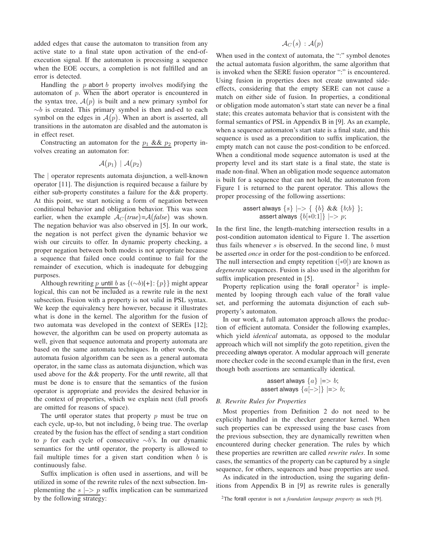added edges that cause the automaton to transition from any active state to a final state upon activation of the end-ofexecution signal. If the automaton is processing a sequence when the EOE occurs, a completion is not fulfilled and an error is detected.

Handling the  $p$  abort  $b$  property involves modifying the automaton of p. When the abort operator is encountered in the syntax tree,  $A(p)$  is built and a new primary symbol for  $~\sim b$  is created. This primary symbol is then and-ed to each symbol on the edges in  $A(p)$ . When an abort is asserted, all transitions in the automaton are disabled and the automaton is in effect reset.

Constructing an automaton for the  $p_1$  &&  $p_2$  property involves creating an automaton for:

$$
\mathcal{A}(p_1)\mid \mathcal{A}(p_2)
$$

The | operator represents automata disjunction, a well-known operator [11]. The disjunction is required because a failure by either sub-property constitutes a failure for the && property. At this point, we start noticing a form of negation between conditional behavior and obligation behavior. This was seen earlier, when the example  $A_C(true) = A(false)$  was shown. The negation behavior was also observed in [5]. In our work, the negation is not perfect given the dynamic behavior we wish our circuits to offer. In dynamic property checking, a proper negation between both modes is not apropriate because a sequence that failed once could continue to fail for the remainder of execution, which is inadequate for debugging purposes.

Although rewriting p until b as  $\{(\sim b)[+] : \{p\} \}$  might appear logical, this can not be included as a rewrite rule in the next subsection. Fusion with a property is not valid in PSL syntax. We keep the equivalency here however, because it illustrates what is done in the kernel. The algorithm for the fusion of two automata was developed in the context of SEREs [12]; however, the algorithm can be used on property automata as well, given that sequence automata and property automata are based on the same automata techniques. In other words, the automata fusion algorithm can be seen as a general automata operator, in the same class as automata disjunction, which was used above for the && property. For the until rewrite, all that must be done is to ensure that the semantics of the fusion operator is appropriate and provides the desired behavior in the context of properties, which we explain next (full proofs are omitted for reasons of space).

The until operator states that property  $p$  must be true on each cycle, up-to, but not including, b being true. The overlap created by the fusion has the effect of sending a start condition to p for each cycle of consecutive  $\sim b$ 's. In our dynamic semantics for the until operator, the property is allowed to fail multiple times for a given start condition when  $b$  is continuously false.

Suffix implication is often used in assertions, and will be utilized in some of the rewrite rules of the next subsection. Implementing the  $s \models > p$  suffix implication can be summarized by the following strategy:

## $\mathcal{A}_C(s):\mathcal{A}(p)$

When used in the context of automata, the ":" symbol denotes the actual automata fusion algorithm, the same algorithm that is invoked when the SERE fusion operator ":" is encountered. Using fusion in properties does not create unwanted sideeffects, considering that the empty SERE can not cause a match on either side of fusion. In properties, a conditional or obligation mode automaton's start state can never be a final state; this creates automata behavior that is consistent with the formal semantics of PSL in Appendix B in [9]. As an example, when a sequence automaton's start state is a final state, and this sequence is used as a precondition to suffix implication, the empty match can not cause the post-condition to be enforced. When a conditional mode sequence automaton is used at the property level and its start state is a final state, the state is made non-final. When an obligation mode sequence automaton is built for a sequence that can not hold, the automaton from Figure 1 is returned to the parent operator. This allows the proper processing of the following assertions:

$$
\text{assert always } \{s\} \mid >> \{ \{b\} \&\&\{b;b\} \};
$$
\n
$$
\text{assert always } \{b[*0:1]\} \mid >> p;
$$

In the first line, the length-matching intersection results in a post-condition automaton identical to Figure 1. The assertion thus fails whenever  $s$  is observed. In the second line,  $b$  must be asserted *once* in order for the post-condition to be enforced. The null intersection and empty repetition  $([*0])$  are known as *degenerate* sequences. Fusion is also used in the algorithm for suffix implication presented in [5].

Property replication using the forall operator  $2$  is implemented by looping through each value of the forall value set, and performing the automata disjunction of each subproperty's automaton.

In our work, a full automaton approach allows the production of efficient automata. Consider the following examples, which yield *identical* automata, as opposed to the modular approach which will not simplify the goto repetition, given the preceeding always operator. A modular approach will generate more checker code in the second example than in the first, even though both assertions are semantically identical.

assert always 
$$
\{a\}
$$
 |=> b;  
assert always  $\{a[->\}]$  |=> b;

#### *B. Rewrite Rules for Properties*

Most properties from Definition 2 do not need to be explicitly handled in the checker generator kernel. When such properties can be expressed using the base cases from the previous subsection, they are dynamically rewritten when encountered during checker generation. The rules by which these properties are rewritten are called *rewrite rules*. In some cases, the semantics of the property can be captured by a single sequence, for others, sequences and base properties are used.

As indicated in the introduction, using the sugaring definitions from Appendix B in [9] as rewrite rules is generally

<sup>2</sup>The forall operator is not a *foundation language property* as such [9].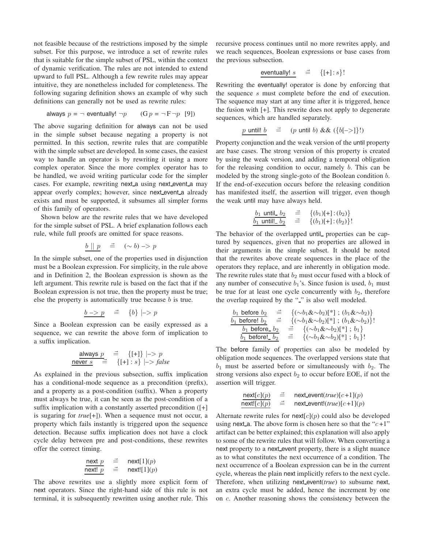not feasible because of the restrictions imposed by the simple subset. For this purpose, we introduce a set of rewrite rules that is suitable for the simple subset of PSL, within the context of dynamic verification. The rules are not intended to extend upward to full PSL. Although a few rewrite rules may appear intuitive, they are nonetheless included for completeness. The following sugaring definition shows an example of why such definitions can generally not be used as rewrite rules:

always 
$$
p = \neg
$$
 eventually!  $\neg p$  (G  $p = \neg F \neg p$  [9])

The above sugaring definition for always can not be used in the simple subset because negating a property is not permitted. In this section, rewrite rules that are compatible with the simple subset are developed. In some cases, the easiest way to handle an operator is by rewriting it using a more complex operator. Since the more complex operator has to be handled, we avoid writing particular code for the simpler cases. For example, rewriting next a using next event a may appear overly complex; however, since next event a already exists and must be supported, it subsumes all simpler forms of this family of operators.

Shown below are the rewrite rules that we have developed for the simple subset of PSL. A brief explanation follows each rule, while full proofs are omitted for space reasons.

$$
b \parallel p \quad \equiv \quad (\sim b) \Longrightarrow p
$$

In the simple subset, one of the properties used in disjunction must be a Boolean expression. For simplicity, in the rule above and in Definition 2, the Boolean expression is shown as the left argument. This rewrite rule is based on the fact that if the Boolean expression is not true, then the property must be true; else the property is automatically true because b is true.

$$
b \longrightarrow p \quad \equiv \quad \{b\} \mid \implies p
$$

Since a Boolean expression can be easily expressed as a sequence, we can rewrite the above form of implication to a suffix implication.

$$
\text{always } p \equiv \{ [+] \} \mid >> p
$$
\n
$$
\text{never } s \equiv \{ [+] : s \} \mid >> false
$$

As explained in the previous subsection, suffix implication has a conditional-mode sequence as a precondition (prefix), and a property as a post-condition (suffix). When a property must always be true, it can be seen as the post-condition of a suffix implication with a constantly asserted precondition ([+] is sugaring for *true*[+]). When a sequence must not occur, a property which fails instantly is triggered upon the sequence detection. Because suffix implication does not have a clock cycle delay between pre and post-conditions, these rewrites offer the correct timing.

$$
\begin{array}{rcl}\n\text{next } p & \stackrel{\Rightarrow}{=} & \text{next}[1](p) \\
\text{next! } p & \stackrel{\Rightarrow}{=} & \text{next}![1](p)\n\end{array}
$$

The above rewrites use a slightly more explicit form of next operators. Since the right-hand side of this rule is not terminal, it is subsequently rewritten using another rule. This recursive process continues until no more rewrites apply, and we reach sequences, Boolean expressions or base cases from the previous subsection.

eventually! 
$$
s \equiv \{[+] : s\}!
$$

Rewriting the eventually! operator is done by enforcing that the sequence s must complete before the end of execution. The sequence may start at any time after it is triggered, hence the fusion with [+]. This rewrite does not apply to degenerate sequences, which are handled separately.

$$
p \text{ until! } b \equiv (p \text{ until } b) \&\& \text{ } (\{b[->]\})
$$

Property conjunction and the weak version of the until property are base cases. The strong version of this property is created by using the weak version, and adding a temporal obligation for the releasing condition to occur, namely b. This can be modeled by the strong single-goto of the Boolean condition b. If the end-of-execution occurs before the releasing condition has manifested itself, the assertion will trigger, even though the weak until may have always held.

$$
\frac{b_1 \text{ until } b_2}{b_1 \text{ until } b_2} \stackrel{\equiv}{=} \{(b_1)[+] : (b_2)\}
$$
  

$$
\frac{b_1 \text{ until } b_2}{b_1 \text{ until } b_2} \stackrel{\equiv}{=} \{(b_1)[+] : (b_2)\}
$$

The behavior of the overlapped until\_ properties can be captured by sequences, given that no properties are allowed in their arguments in the simple subset. It should be noted that the rewrites above create sequences in the place of the operators they replace, and are inherently in obligation mode. The rewrite rules state that  $b_2$  must occur fused with a block of any number of consecutive  $b_1$ 's. Since fusion is used,  $b_1$  must be true for at least one cycle concurrently with  $b_2$ , therefore the overlap required by the "-" is also well modeled.

$$
\begin{array}{ccc}\n\frac{b_1 \text{ before } b_2}{b_1 \text{ before } b_2} & \stackrel{\Rightarrow}{=} & \{ (\sim b_1 \& \sim b_2) [\ast] \ ; \ (b_1 \& \sim b_2) \} \\
\frac{b_1 \text{ before } b_2}{b_1 \text{ before } b_2} & \stackrel{\Rightarrow}{=} & \{ (\sim b_1 \& \sim b_2) [\ast] \ ; \ (b_1 \& \sim b_2) \} \\
\frac{b_1 \text{ before } b_2}{b_1 \text{ before } b_2} & \stackrel{\Rightarrow}{=} & \{ (\sim b_1 \& \sim b_2) [\ast] \ ; \ b_1 \} \\
\end{array}
$$

The before family of properties can also be modeled by obligation mode sequences. The overlapped versions state that  $b_1$  must be asserted before or simultaneously with  $b_2$ . The strong versions also expect  $b_2$  to occur before EOE, if not the assertion will trigger.

$$
\begin{array}{rcl}\n\text{next}[c](p) & \equiv & \text{next event}(true)[c+1](p) \\
\text{next}![c](p) & \equiv & \text{next event}(true)[c+1](p)\n\end{array}
$$

Alternate rewrite rules for next[c](p) could also be developed using next a. The above form is chosen here so that the " $c+1$ " artifact can be better explained; this explanation will also apply to some of the rewrite rules that will follow. When converting a next property to a next event property, there is a slight nuance as to what constitutes the next occurrence of a condition. The next occurrence of a Boolean expression can be in the current cycle, whereas the plain next implicitly refers to the next cycle. Therefore, when utilizing next event(*true*) to subsume next, an extra cycle must be added, hence the increment by one on c. Another reasoning shows the consistency between the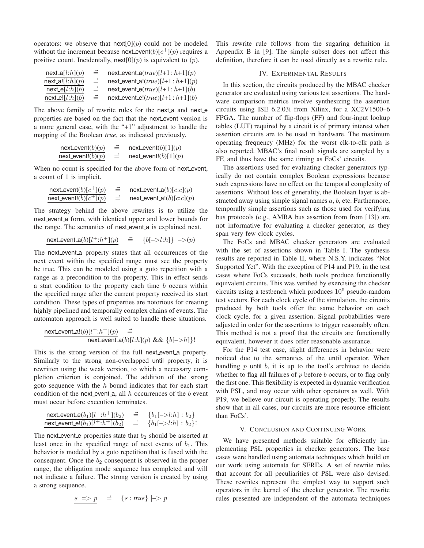operators: we observe that  $next[0](p)$  could not be modeled without the increment because next event(b)[ $c^+$ ](p) requires a positive count. Incidentally, next[0]( $p$ ) is equivalent to ( $p$ ).

| next_a[ $l:h$ ] $(p)$ | $\equiv$ | next_event_a(true)[ $l+1 : h+1$ ](p)   |
|-----------------------|----------|----------------------------------------|
| next_a! $[l:h](p)$    | 르        | next_event_a! $(true)[l+1: h+1](p)$    |
| $next_e[l:h](b)$      | ≞        | next_event_e(true)[ $l+1$ : $h+1$ ](b) |
| next_e! $[l:h](b)$    | 르        | next_event_e! $(true)[l+1:h+1](b)$     |

The above family of rewrite rules for the next a and next e properties are based on the fact that the next event version is a more general case, with the "+1" adjustment to handle the mapping of the Boolean *true*, as indicated previously.

| next_event(b)(p)     | ⋍<br>=               | next_event(b)[1](p)     |
|----------------------|----------------------|-------------------------|
| next_event! $(b)(p)$ | $\rightarrow$<br>$=$ | next_event! $(b)[1](p)$ |

When no count is specified for the above form of next event, a count of 1 is implicit.

| next_event(b)[ $c^+$ ](p) | ≝ | next_event_a(b)[ $c$ : $c$ ](p) |
|---------------------------|---|---------------------------------|
| next_event! $(b)[c^+](p)$ | ≝ | next_event_a! $(b)[c:c](p)$     |

The strategy behind the above rewrites is to utilize the next event a form, with identical upper and lower bounds for the range. The semantics of next event a is explained next.

next\_event\_a(b)[ $l^{\dagger}:h^{\dagger}$ ](p)  $\equiv$  {b[->l:h]} |->(p)

The next\_event\_a property states that all occurrences of the next event within the specified range must see the property be true. This can be modeled using a goto repetition with a range as a precondition to the property. This in effect sends a start condition to the property each time  $b$  occurs within the specified range after the current property received its start condition. These types of properties are notorious for creating highly pipelined and temporally complex chains of events. The automaton approach is well suited to handle these situations.

$$
\frac{\text{next.event.a!}(b)[l^+ : h^+] (p)}{\text{next.event.a}(b)[l : h](p) \& \& \{b[->h]\}!}
$$

This is the strong version of the full next event a property. Similarly to the strong non-overlapped until property, it is rewritten using the weak version, to which a necessary completion criterion is conjoined. The addition of the strong goto sequence with the  $h$  bound indicates that for each start condition of the next event a, all  $h$  occurrences of the  $b$  event must occur before execution terminates.

$$
\begin{array}{llll}\n\text{next.event_e}(b_1)[l^+ : h^+](b_2) & \equiv & \{b_1[->l : h]: b_2\} \\
\text{next.event_e}(b_1)[l^+ : h^+](b_2) & \equiv & \{b_1[->l : h]: b_2\}!\n\end{array}
$$

The next event e properties state that  $b_2$  should be asserted at least once in the specified range of next events of  $b_1$ . This behavior is modeled by a goto repetition that is fused with the consequent. Once the  $b_2$  consequent is observed in the proper range, the obligation mode sequence has completed and will not indicate a failure. The strong version is created by using a strong sequence.

$$
s \mid >> p \quad \equiv \quad \{s \text{ ; true}\} \mid >> p
$$

This rewrite rule follows from the sugaring definition in Appendix B in [9]. The simple subset does not affect this definition, therefore it can be used directly as a rewrite rule.

## IV. EXPERIMENTAL RESULTS

In this section, the circuits produced by the MBAC checker generator are evaluated using various test assertions. The hardware comparison metrics involve synthesizing the assertion circuits using ISE 6.2.03i from Xilinx, for a XC2V1500–6 FPGA. The number of flip-flops (FF) and four-input lookup tables (LUT) required by a circuit is of primary interest when assertion circuits are to be used in hardware. The maximum operating frequency (MHz) for the worst clk-to-clk path is also reported. MBAC's final result signals are sampled by a FF, and thus have the same timing as FoCs' circuits.

The assertions used for evaluating checker generators typically do not contain complex Boolean expressions because such expressions have no effect on the temporal complexity of assertions. Without loss of generality, the Boolean layer is abstracted away using simple signal names  $a, b$ , etc. Furthermore, temporally simple assertions such as those used for verifying bus protocols (e.g., AMBA bus assertion from from [13]) are not informative for evaluating a checker generator, as they span very few clock cycles.

The FoCs and MBAC checker generators are evaluated with the set of assertions shown in Table I. The synthesis results are reported in Table II, where N.S.Y. indicates "Not Supported Yet". With the exception of P14 and P19, in the test cases where FoCs succeeds, both tools produce functionally equivalent circuits. This was verified by exercising the checker circuits using a testbench which produces  $10<sup>5</sup>$  pseudo-random test vectors. For each clock cycle of the simulation, the circuits produced by both tools offer the same behavior on each clock cycle, for a given assertion. Signal probabilities were adjusted in order for the assertions to trigger reasonably often. This method is not a proof that the circuits are functionally equivalent, however it does offer reasonable assurance.

For the P14 test case, slight differences in behavior were noticed due to the semantics of the until operator. When handling  $p$  until  $b$ , it is up to the tool's architect to decide whether to flag all failures of  $p$  before  $b$  occurs, or to flag only the first one. This flexibility is expected in dynamic verification with PSL, and may occur with other operators as well. With P19, we believe our circuit is operating properly. The results show that in all cases, our circuits are more resource-efficient than FoCs'.

#### V. CONCLUSION AND CONTINUING WORK

We have presented methods suitable for efficiently implementing PSL properties in checker generators. The base cases were handled using automata techniques which build on our work using automata for SEREs. A set of rewrite rules that account for all peculiarities of PSL were also devised. These rewrites represent the simplest way to support such operators in the kernel of the checker generator. The rewrite rules presented are independent of the automata techniques